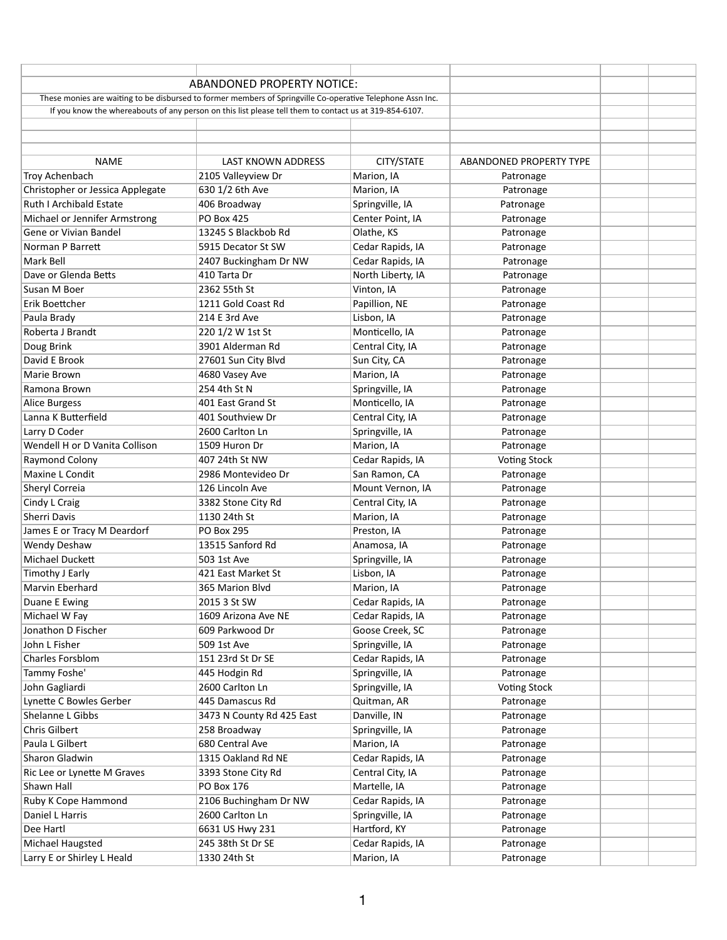|                                                                                                            | <b>ABANDONED PROPERTY NOTICE:</b>                                                                      |                   |                                |  |
|------------------------------------------------------------------------------------------------------------|--------------------------------------------------------------------------------------------------------|-------------------|--------------------------------|--|
| These monies are waiting to be disbursed to former members of Springville Co-operative Telephone Assn Inc. |                                                                                                        |                   |                                |  |
|                                                                                                            | If you know the whereabouts of any person on this list please tell them to contact us at 319-854-6107. |                   |                                |  |
|                                                                                                            |                                                                                                        |                   |                                |  |
|                                                                                                            |                                                                                                        |                   |                                |  |
|                                                                                                            |                                                                                                        |                   |                                |  |
| <b>NAME</b>                                                                                                | <b>LAST KNOWN ADDRESS</b>                                                                              | CITY/STATE        | <b>ABANDONED PROPERTY TYPE</b> |  |
| Troy Achenbach                                                                                             | 2105 Valleyview Dr                                                                                     | Marion, IA        | Patronage                      |  |
| Christopher or Jessica Applegate                                                                           | 630 1/2 6th Ave                                                                                        | Marion, IA        | Patronage                      |  |
| <b>Ruth I Archibald Estate</b>                                                                             | 406 Broadway                                                                                           | Springville, IA   | Patronage                      |  |
| Michael or Jennifer Armstrong                                                                              | <b>PO Box 425</b>                                                                                      | Center Point, IA  | Patronage                      |  |
| Gene or Vivian Bandel                                                                                      | 13245 S Blackbob Rd                                                                                    | Olathe, KS        | Patronage                      |  |
| Norman P Barrett                                                                                           | 5915 Decator St SW                                                                                     | Cedar Rapids, IA  | Patronage                      |  |
| Mark Bell                                                                                                  | 2407 Buckingham Dr NW                                                                                  | Cedar Rapids, IA  | Patronage                      |  |
| Dave or Glenda Betts                                                                                       | 410 Tarta Dr                                                                                           | North Liberty, IA | Patronage                      |  |
| Susan M Boer                                                                                               | 2362 55th St                                                                                           | Vinton, IA        | Patronage                      |  |
| Erik Boettcher                                                                                             | 1211 Gold Coast Rd                                                                                     | Papillion, NE     | Patronage                      |  |
| Paula Brady                                                                                                | 214 E 3rd Ave                                                                                          | Lisbon, IA        | Patronage                      |  |
| Roberta J Brandt                                                                                           | 220 1/2 W 1st St                                                                                       | Monticello, IA    | Patronage                      |  |
| Doug Brink                                                                                                 | 3901 Alderman Rd                                                                                       | Central City, IA  | Patronage                      |  |
| David E Brook                                                                                              | 27601 Sun City Blvd                                                                                    | Sun City, CA      | Patronage                      |  |
| Marie Brown                                                                                                | 4680 Vasey Ave                                                                                         | Marion, IA        | Patronage                      |  |
| Ramona Brown                                                                                               | 254 4th St N                                                                                           | Springville, IA   | Patronage                      |  |
| Alice Burgess                                                                                              | 401 East Grand St                                                                                      | Monticello, IA    | Patronage                      |  |
| Lanna K Butterfield                                                                                        | 401 Southview Dr                                                                                       | Central City, IA  | Patronage                      |  |
| Larry D Coder                                                                                              | 2600 Carlton Ln                                                                                        |                   |                                |  |
|                                                                                                            |                                                                                                        | Springville, IA   | Patronage                      |  |
| Wendell H or D Vanita Collison                                                                             | 1509 Huron Dr                                                                                          | Marion, IA        | Patronage                      |  |
| Raymond Colony                                                                                             | 407 24th St NW                                                                                         | Cedar Rapids, IA  | <b>Voting Stock</b>            |  |
| Maxine L Condit                                                                                            | 2986 Montevideo Dr                                                                                     | San Ramon, CA     | Patronage                      |  |
| Sheryl Correia                                                                                             | 126 Lincoln Ave                                                                                        | Mount Vernon, IA  | Patronage                      |  |
| Cindy L Craig                                                                                              | 3382 Stone City Rd                                                                                     | Central City, IA  | Patronage                      |  |
| Sherri Davis                                                                                               | 1130 24th St                                                                                           | Marion, IA        | Patronage                      |  |
| James E or Tracy M Deardorf                                                                                | <b>PO Box 295</b>                                                                                      | Preston, IA       | Patronage                      |  |
| Wendy Deshaw                                                                                               | 13515 Sanford Rd                                                                                       | Anamosa, IA       | Patronage                      |  |
| Michael Duckett                                                                                            | 503 1st Ave                                                                                            | Springville, IA   | Patronage                      |  |
| Timothy J Early                                                                                            | 421 East Market St                                                                                     | Lisbon, IA        | Patronage                      |  |
| Marvin Eberhard                                                                                            | 365 Marion Blvd                                                                                        | Marion, IA        | Patronage                      |  |
| Duane E Ewing                                                                                              | 2015 3 St SW                                                                                           | Cedar Rapids, IA  | Patronage                      |  |
| Michael W Fay                                                                                              | 1609 Arizona Ave NE                                                                                    | Cedar Rapids, IA  | Patronage                      |  |
| Jonathon D Fischer                                                                                         | 609 Parkwood Dr                                                                                        | Goose Creek, SC   | Patronage                      |  |
| John L Fisher                                                                                              | 509 1st Ave                                                                                            | Springville, IA   | Patronage                      |  |
| Charles Forsblom                                                                                           | 151 23rd St Dr SE                                                                                      | Cedar Rapids, IA  | Patronage                      |  |
| Tammy Foshe'                                                                                               | 445 Hodgin Rd                                                                                          | Springville, IA   | Patronage                      |  |
| John Gagliardi                                                                                             | 2600 Carlton Ln                                                                                        | Springville, IA   | <b>Voting Stock</b>            |  |
| Lynette C Bowles Gerber                                                                                    | 445 Damascus Rd                                                                                        | Quitman, AR       | Patronage                      |  |
| Shelanne L Gibbs                                                                                           | 3473 N County Rd 425 East                                                                              | Danville, IN      | Patronage                      |  |
| Chris Gilbert                                                                                              | 258 Broadway                                                                                           | Springville, IA   | Patronage                      |  |
| Paula L Gilbert                                                                                            | 680 Central Ave                                                                                        | Marion, IA        | Patronage                      |  |
| Sharon Gladwin                                                                                             | 1315 Oakland Rd NE                                                                                     | Cedar Rapids, IA  | Patronage                      |  |
| Ric Lee or Lynette M Graves                                                                                | 3393 Stone City Rd                                                                                     | Central City, IA  | Patronage                      |  |
| Shawn Hall                                                                                                 | <b>PO Box 176</b>                                                                                      | Martelle, IA      |                                |  |
|                                                                                                            |                                                                                                        |                   | Patronage                      |  |
| Ruby K Cope Hammond                                                                                        | 2106 Buchingham Dr NW                                                                                  | Cedar Rapids, IA  | Patronage                      |  |
| Daniel L Harris                                                                                            | 2600 Carlton Ln                                                                                        | Springville, IA   | Patronage                      |  |
| Dee Hartl                                                                                                  | 6631 US Hwy 231                                                                                        | Hartford, KY      | Patronage                      |  |
| Michael Haugsted                                                                                           | 245 38th St Dr SE                                                                                      | Cedar Rapids, IA  | Patronage                      |  |
| Larry E or Shirley L Heald                                                                                 | 1330 24th St                                                                                           | Marion, IA        | Patronage                      |  |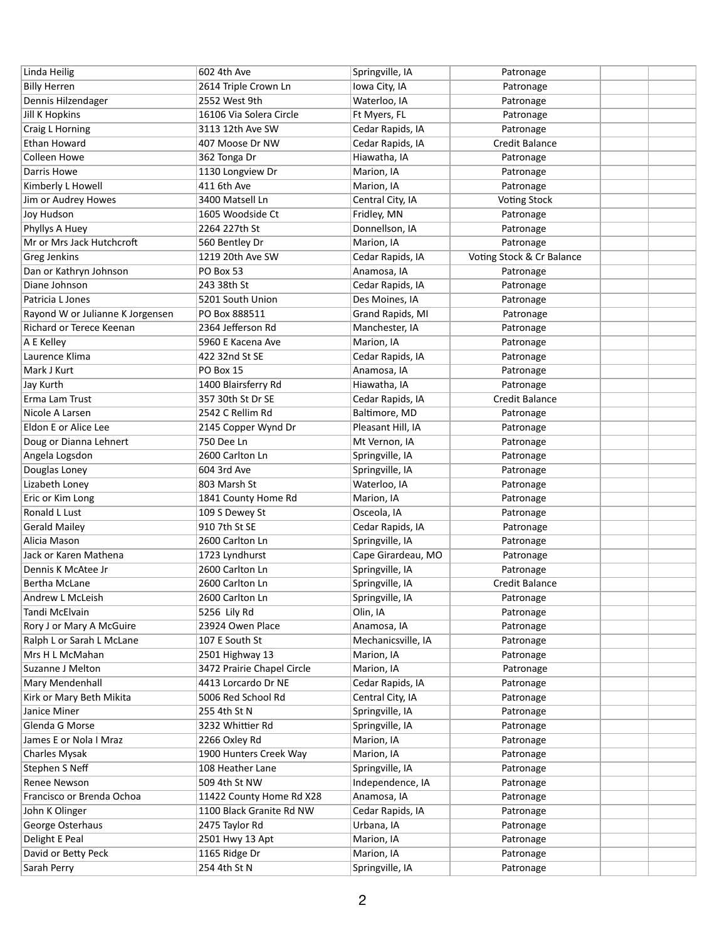| Linda Heilig                     | 602 4th Ave                | Springville, IA    | Patronage                 |  |
|----------------------------------|----------------------------|--------------------|---------------------------|--|
| <b>Billy Herren</b>              | 2614 Triple Crown Ln       | Iowa City, IA      | Patronage                 |  |
| Dennis Hilzendager               | 2552 West 9th              | Waterloo, IA       | Patronage                 |  |
| <b>Jill K Hopkins</b>            | 16106 Via Solera Circle    | Ft Myers, FL       | Patronage                 |  |
| Craig L Horning                  | 3113 12th Ave SW           | Cedar Rapids, IA   | Patronage                 |  |
| Ethan Howard                     | 407 Moose Dr NW            | Cedar Rapids, IA   | <b>Credit Balance</b>     |  |
| <b>Colleen Howe</b>              | 362 Tonga Dr               | Hiawatha, IA       | Patronage                 |  |
| Darris Howe                      | 1130 Longview Dr           | Marion, IA         | Patronage                 |  |
| Kimberly L Howell                | 411 6th Ave                | Marion, IA         | Patronage                 |  |
| Jim or Audrey Howes              | 3400 Matsell Ln            | Central City, IA   | <b>Voting Stock</b>       |  |
| Joy Hudson                       | 1605 Woodside Ct           | Fridley, MN        | Patronage                 |  |
| Phyllys A Huey                   | 2264 227th St              | Donnellson, IA     | Patronage                 |  |
| Mr or Mrs Jack Hutchcroft        | 560 Bentley Dr             | Marion, IA         | Patronage                 |  |
| Greg Jenkins                     | 1219 20th Ave SW           | Cedar Rapids, IA   | Voting Stock & Cr Balance |  |
| Dan or Kathryn Johnson           | PO Box 53                  | Anamosa, IA        | Patronage                 |  |
| Diane Johnson                    | 243 38th St                | Cedar Rapids, IA   | Patronage                 |  |
| Patricia L Jones                 | 5201 South Union           | Des Moines, IA     | Patronage                 |  |
| Rayond W or Julianne K Jorgensen | PO Box 888511              | Grand Rapids, MI   | Patronage                 |  |
| Richard or Terece Keenan         | 2364 Jefferson Rd          | Manchester, IA     | Patronage                 |  |
| A E Kelley                       | 5960 E Kacena Ave          | Marion, IA         | Patronage                 |  |
| Laurence Klima                   | 422 32nd St SE             | Cedar Rapids, IA   | Patronage                 |  |
| Mark J Kurt                      | PO Box 15                  | Anamosa, IA        | Patronage                 |  |
| Jay Kurth                        | 1400 Blairsferry Rd        | Hiawatha, IA       | Patronage                 |  |
| Erma Lam Trust                   | 357 30th St Dr SE          | Cedar Rapids, IA   | <b>Credit Balance</b>     |  |
| Nicole A Larsen                  | 2542 C Rellim Rd           | Baltimore, MD      | Patronage                 |  |
| Eldon E or Alice Lee             | 2145 Copper Wynd Dr        | Pleasant Hill, IA  | Patronage                 |  |
| Doug or Dianna Lehnert           | 750 Dee Ln                 | Mt Vernon, IA      | Patronage                 |  |
| Angela Logsdon                   | 2600 Carlton Ln            | Springville, IA    | Patronage                 |  |
| Douglas Loney                    | 604 3rd Ave                | Springville, IA    | Patronage                 |  |
| Lizabeth Loney                   | 803 Marsh St               | Waterloo, IA       | Patronage                 |  |
| Eric or Kim Long                 | 1841 County Home Rd        | Marion, IA         | Patronage                 |  |
| Ronald L Lust                    | 109 S Dewey St             | Osceola, IA        | Patronage                 |  |
| <b>Gerald Mailey</b>             | 910 7th St SE              | Cedar Rapids, IA   | Patronage                 |  |
| Alicia Mason                     | 2600 Carlton Ln            | Springville, IA    | Patronage                 |  |
| Jack or Karen Mathena            | 1723 Lyndhurst             | Cape Girardeau, MO | Patronage                 |  |
| Dennis K McAtee Jr               | 2600 Carlton Ln            | Springville, IA    | Patronage                 |  |
| <b>Bertha McLane</b>             | 2600 Carlton Ln            | Springville, IA    | <b>Credit Balance</b>     |  |
| Andrew L McLeish                 | 2600 Carlton Ln            | Springville, IA    | Patronage                 |  |
| Tandi McElvain                   | 5256 Lily Rd               | Olin, IA           | Patronage                 |  |
| Rory J or Mary A McGuire         | 23924 Owen Place           | Anamosa, IA        | Patronage                 |  |
| Ralph L or Sarah L McLane        | 107 E South St             | Mechanicsville, IA | Patronage                 |  |
| Mrs H L McMahan                  | 2501 Highway 13            | Marion, IA         | Patronage                 |  |
| <b>Suzanne J Melton</b>          | 3472 Prairie Chapel Circle | Marion, IA         | Patronage                 |  |
| Mary Mendenhall                  | 4413 Lorcardo Dr NE        | Cedar Rapids, IA   | Patronage                 |  |
| Kirk or Mary Beth Mikita         | 5006 Red School Rd         | Central City, IA   | Patronage                 |  |
| Janice Miner                     | 255 4th St N               | Springville, IA    | Patronage                 |  |
| Glenda G Morse                   | 3232 Whittier Rd           | Springville, IA    | Patronage                 |  |
| James E or Nola I Mraz           | 2266 Oxley Rd              | Marion, IA         | Patronage                 |  |
| <b>Charles Mysak</b>             | 1900 Hunters Creek Way     | Marion, IA         | Patronage                 |  |
| Stephen S Neff                   | 108 Heather Lane           | Springville, IA    | Patronage                 |  |
| <b>Renee Newson</b>              | 509 4th St NW              | Independence, IA   | Patronage                 |  |
| Francisco or Brenda Ochoa        | 11422 County Home Rd X28   | Anamosa, IA        | Patronage                 |  |
| John K Olinger                   | 1100 Black Granite Rd NW   | Cedar Rapids, IA   | Patronage                 |  |
| George Osterhaus                 | 2475 Taylor Rd             | Urbana, IA         | Patronage                 |  |
| Delight E Peal                   | 2501 Hwy 13 Apt            | Marion, IA         | Patronage                 |  |
| David or Betty Peck              | 1165 Ridge Dr              | Marion, IA         | Patronage                 |  |
| Sarah Perry                      | 254 4th St N               | Springville, IA    | Patronage                 |  |